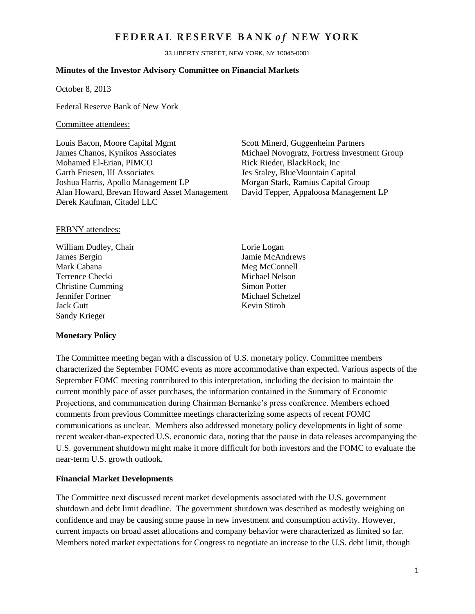## FEDERAL RESERVE BANK of NEW YORK

33 LIBERTY STREET, NEW YORK, NY 10045-0001

#### **Minutes of the Investor Advisory Committee on Financial Markets**

October 8, 2013

Federal Reserve Bank of New York

#### Committee attendees:

Louis Bacon, Moore Capital Mgmt Scott Minerd, Guggenheim Partners James Chanos, Kynikos Associates Michael Novogratz, Fortress Investment Group Mohamed El-Erian, PIMCO Rick Rieder, BlackRock, Inc Garth Friesen, III Associates Jes Staley, BlueMountain Capital Joshua Harris, Apollo Management LP Morgan Stark, Ramius Capital Group Alan Howard, Brevan Howard Asset Management David Tepper, Appaloosa Management LP Derek Kaufman, Citadel LLC

#### FRBNY attendees:

William Dudley, Chair Lorie Logan James Bergin Jamie McAndrews Mark Cabana Meg McConnell Terrence Checki Michael Nelson<br>
Christine Cumming Simon Potter Christine Cumming Jennifer Fortner Michael Schetzel Jack Gutt **Kevin Stiroh** Sandy Krieger

#### **Monetary Policy**

The Committee meeting began with a discussion of U.S. monetary policy. Committee members characterized the September FOMC events as more accommodative than expected. Various aspects of the September FOMC meeting contributed to this interpretation, including the decision to maintain the current monthly pace of asset purchases, the information contained in the Summary of Economic Projections, and communication during Chairman Bernanke's press conference. Members echoed comments from previous Committee meetings characterizing some aspects of recent FOMC communications as unclear. Members also addressed monetary policy developments in light of some recent weaker-than-expected U.S. economic data, noting that the pause in data releases accompanying the U.S. government shutdown might make it more difficult for both investors and the FOMC to evaluate the near-term U.S. growth outlook.

#### **Financial Market Developments**

The Committee next discussed recent market developments associated with the U.S. government shutdown and debt limit deadline. The government shutdown was described as modestly weighing on confidence and may be causing some pause in new investment and consumption activity. However, current impacts on broad asset allocations and company behavior were characterized as limited so far. Members noted market expectations for Congress to negotiate an increase to the U.S. debt limit, though